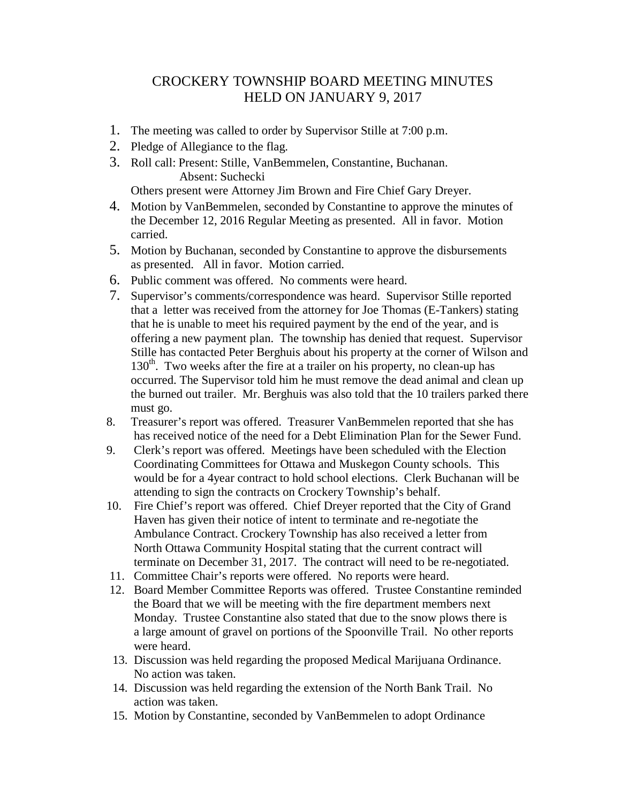## CROCKERY TOWNSHIP BOARD MEETING MINUTES HELD ON JANUARY 9, 2017

- 1. The meeting was called to order by Supervisor Stille at 7:00 p.m.
- 2. Pledge of Allegiance to the flag.
- 3. Roll call: Present: Stille, VanBemmelen, Constantine, Buchanan. Absent: Suchecki

Others present were Attorney Jim Brown and Fire Chief Gary Dreyer.

- 4. Motion by VanBemmelen, seconded by Constantine to approve the minutes of the December 12, 2016 Regular Meeting as presented. All in favor. Motion carried.
- 5. Motion by Buchanan, seconded by Constantine to approve the disbursements as presented. All in favor. Motion carried.
- 6. Public comment was offered. No comments were heard.
- 7. Supervisor's comments/correspondence was heard. Supervisor Stille reported that a letter was received from the attorney for Joe Thomas (E-Tankers) stating that he is unable to meet his required payment by the end of the year, and is offering a new payment plan. The township has denied that request. Supervisor Stille has contacted Peter Berghuis about his property at the corner of Wilson and  $130<sup>th</sup>$ . Two weeks after the fire at a trailer on his property, no clean-up has occurred. The Supervisor told him he must remove the dead animal and clean up the burned out trailer. Mr. Berghuis was also told that the 10 trailers parked there must go.
- 8. Treasurer's report was offered. Treasurer VanBemmelen reported that she has has received notice of the need for a Debt Elimination Plan for the Sewer Fund.
- 9. Clerk's report was offered. Meetings have been scheduled with the Election Coordinating Committees for Ottawa and Muskegon County schools. This would be for a 4year contract to hold school elections. Clerk Buchanan will be attending to sign the contracts on Crockery Township's behalf.
- 10. Fire Chief's report was offered. Chief Dreyer reported that the City of Grand Haven has given their notice of intent to terminate and re-negotiate the Ambulance Contract. Crockery Township has also received a letter from North Ottawa Community Hospital stating that the current contract will terminate on December 31, 2017. The contract will need to be re-negotiated.
- 11. Committee Chair's reports were offered. No reports were heard.
- 12. Board Member Committee Reports was offered. Trustee Constantine reminded the Board that we will be meeting with the fire department members next Monday. Trustee Constantine also stated that due to the snow plows there is a large amount of gravel on portions of the Spoonville Trail. No other reports were heard.
- 13. Discussion was held regarding the proposed Medical Marijuana Ordinance. No action was taken.
- 14. Discussion was held regarding the extension of the North Bank Trail. No action was taken.
- 15. Motion by Constantine, seconded by VanBemmelen to adopt Ordinance